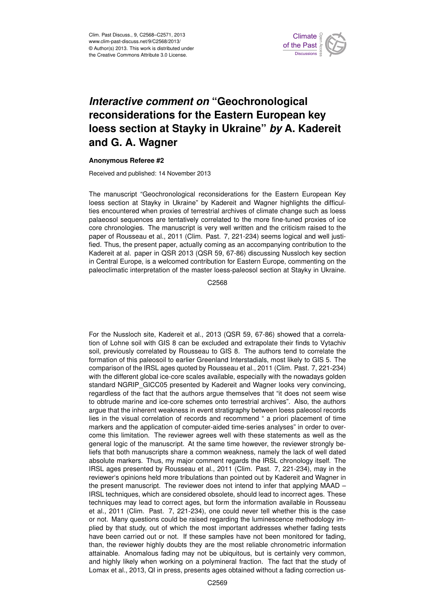

## **Interactive comment on "Geochronological** ane for th we have an loess section at Stayky in Ukraine" *by* A. Kadereit  $\epsilon$ maan ke reconsiderations for the Eastern European key )<br>C Geoscientific **and G. A. Wagner**

## Anonymous Referee #2

Received and published: 14 November 2013

Earth System siogical it<br>District c Earth System The manuscript "Geochronological reconsiderations for the Eastern European Key oe<br>O loess section at Stayky in Ukraine" by Kadereit and Wagner highlights the difficulparabodic disputes are contained, denotated to the more more three promoder to the<br>core chronologies. The manuscript is very well written and the criticism raised to the O<br>O<br>C `e<br>e<br>⊶ palaeosol sequences are tentatively correlated to the more fine-tuned proxies of ice in Central Europe, is a welcomed contribution for Eastern Europe, commenting on the S<br>ril<br>te y<br>ng Kadereit at al. paper in QSR 2013 (QSR 59, 67-86) discussing Nussloch key section ties encountered when proxies of terrestrial archives of climate change such as loess paper of Rousseau et al., 2011 (Clim. Past. 7, 221-234) seems logical and well justified. Thus, the present paper, actually coming as an accompanying contribution to the paleoclimatic interpretation of the master loess-paleosol section at Stayky in Ukraine.

> Open Access C2568

For the Nussloch site, Kadereit et al., 2013 (QSR 59, 67-86) showed that a correlation of Lohne soil with GIS 8 can be excluded and extrapolate their finds to Vytachiv soil, previously correlated by Rousseau to GIS 8. The authors tend to correlate the formation of this paleosoil to earlier Greenland Interstadials, most likely to GIS 5. The comparison of the IRSL ages quoted by Rousseau et al., 2011 (Clim. Past. 7, 221-234) with the different global ice-core scales available, especially with the nowadays golden standard NGRIP\_GICC05 presented by Kadereit and Wagner looks very convincing, regardless of the fact that the authors argue themselves that "it does not seem wise to obtrude marine and ice-core schemes onto terrestrial archives". Also, the authors argue that the inherent weakness in event stratigraphy between loess paleosol records lies in the visual correlation of records and recommend " a priori placement of time markers and the application of computer-aided time-series analyses" in order to overcome this limitation. The reviewer agrees well with these statements as well as the general logic of the manuscript. At the same time however, the reviewer strongly beliefs that both manuscripts share a common weakness, namely the lack of well dated absolute markers. Thus, my major comment regards the IRSL chronology itself. The IRSL ages presented by Rousseau et al., 2011 (Clim. Past. 7, 221-234), may in the reviewer's opinions held more tribulations than pointed out by Kadereit and Wagner in the present manuscript. The reviewer does not intend to infer that applying MAAD – IRSL techniques, which are considered obsolete, should lead to incorrect ages. These techniques may lead to correct ages, but form the information available in Rousseau et al., 2011 (Clim. Past. 7, 221-234), one could never tell whether this is the case or not. Many questions could be raised regarding the luminescence methodology implied by that study, out of which the most important addresses whether fading tests have been carried out or not. If these samples have not been monitored for fading, than, the reviewer highly doubts they are the most reliable chronometric information attainable. Anomalous fading may not be ubiquitous, but is certainly very common, and highly likely when working on a polymineral fraction. The fact that the study of Lomax et al., 2013, QI in press, presents ages obtained without a fading correction us